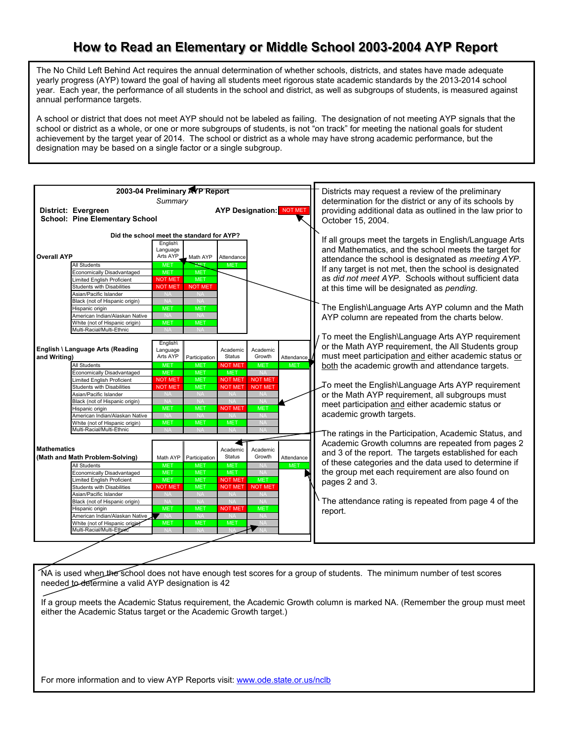## How to Read an Elementary or Middle School 2003-2004 AYP Report

The No Child Left Behind Act requires the annual determination of whether schools, districts, and states have made adequate yearly progress (AYP) toward the goal of having all students meet rigorous state academic standards by the 2013-2014 school year. Each year, the performance of all students in the school and district, as well as subgroups of students, is measured against annual performance targets.

A school or district that does not meet AYP should not be labeled as failing. The designation of not meeting AYP signals that the school or district as a whole, or one or more subgroups of students, is not "on track" for meeting the national goals for student achievement by the target year of 2014. The school or district as a whole may have strong academic performance, but the designation may be based on a single factor or a single subgroup.



NA is used when the school does not have enough test scores for a group of students. The minimum number of test scores needed to determine a valid AYP designation is 42

If a group meets the Academic Status requirement, the Academic Growth column is marked NA. (Remember the group must meet either the Academic Status target or the Academic Growth target.)

For more information and to view AYP Reports visit: www.ode.state.or.us/nclb